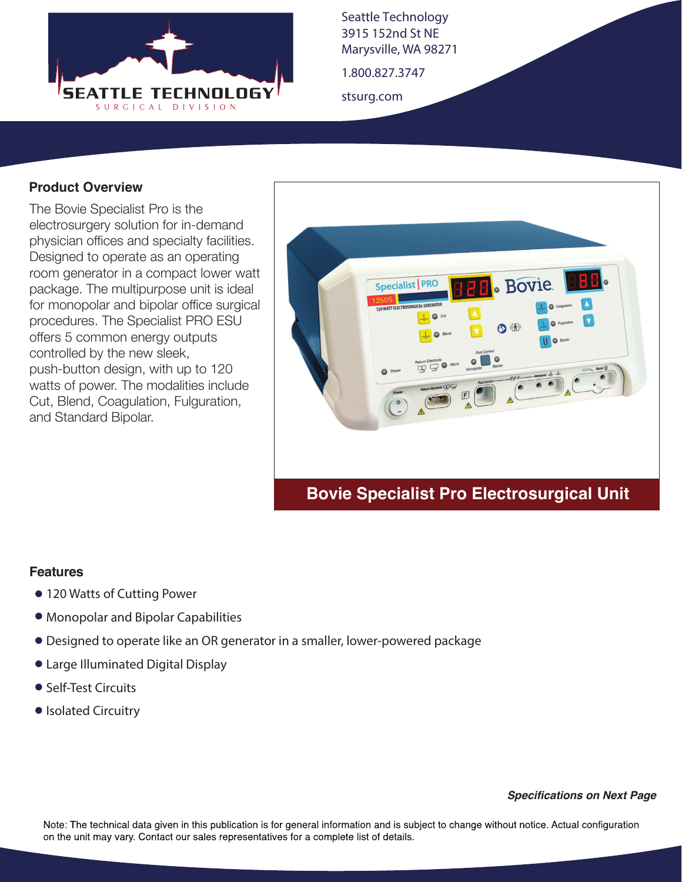

Seattle Technology 3915 152nd St NE Marysville, WA 98271

1.800.827.3747

stsurg.com

## **Product Overview**

The Bovie Specialist Pro is the electrosurgery solution for in-demand physician offices and specialty facilities. Designed to operate as an operating room generator in a compact lower watt package. The multipurpose unit is ideal for monopolar and bipolar office surgical procedures. The Specialist PRO ESU offers 5 common energy outputs controlled by the new sleek, push-button design, with up to 120 watts of power. The modalities include Cut, Blend, Coagulation, Fulguration, and Standard Bipolar.



## **Bovie Specialist Pro Electrosurgical Unit**

## **Features**

- 120 Watts of Cutting Power
- Monopolar and Bipolar Capabilities
- Designed to operate like an OR generator in a smaller, lower-powered package
- Large Illuminated Digital Display
- Self-Test Circuits
- Isolated Circuitry

*Specifications on Next Page*

Note: The technical data given in this publication is for general information and is subject to change without notice. Actual configuration on the unit may vary. Contact our sales representatives for a complete list of details.